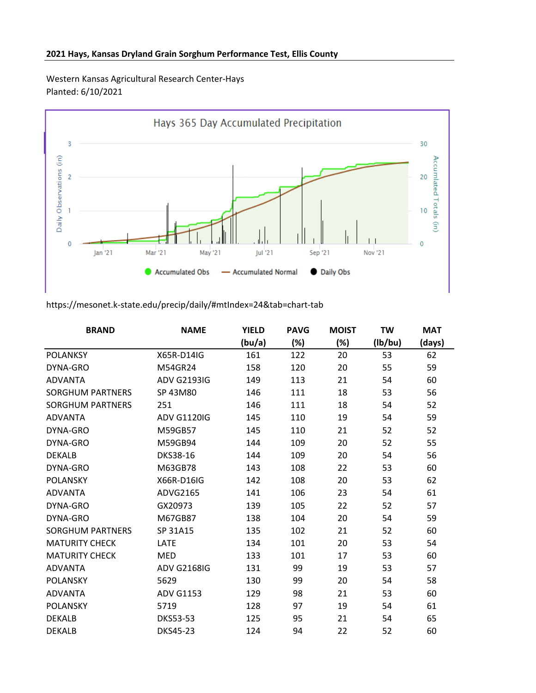## **2021 Hays, Kansas Dryland Grain Sorghum Performance Test, Ellis County**

Western Kansas Agricultural Research Center-Hays Planted: 6/10/2021



## https://mesonet.k-state.edu/precip/daily/#mtIndex=24&tab=chart-tab

| <b>BRAND</b>            | <b>NAME</b>        | <b>YIELD</b> | <b>PAVG</b> | <b>MOIST</b> | <b>TW</b> | <b>MAT</b> |
|-------------------------|--------------------|--------------|-------------|--------------|-----------|------------|
|                         |                    | (bu/a)       | (%)         | (%)          | (lb/bu)   | (days)     |
| <b>POLANKSY</b>         | X65R-D14IG         | 161          | 122         | 20           | 53        | 62         |
| DYNA-GRO                | M54GR24            | 158          | 120         | 20           | 55        | 59         |
| <b>ADVANTA</b>          | <b>ADV G2193IG</b> | 149          | 113         | 21           | 54        | 60         |
| <b>SORGHUM PARTNERS</b> | SP 43M80           | 146          | 111         | 18           | 53        | 56         |
| <b>SORGHUM PARTNERS</b> | 251                | 146          | 111         | 18           | 54        | 52         |
| <b>ADVANTA</b>          | <b>ADV G1120IG</b> | 145          | 110         | 19           | 54        | 59         |
| DYNA-GRO                | M59GB57            | 145          | 110         | 21           | 52        | 52         |
| DYNA-GRO                | M59GB94            | 144          | 109         | 20           | 52        | 55         |
| <b>DEKALB</b>           | DKS38-16           | 144          | 109         | 20           | 54        | 56         |
| DYNA-GRO                | M63GB78            | 143          | 108         | 22           | 53        | 60         |
| <b>POLANSKY</b>         | X66R-D16IG         | 142          | 108         | 20           | 53        | 62         |
| <b>ADVANTA</b>          | ADVG2165           | 141          | 106         | 23           | 54        | 61         |
| DYNA-GRO                | GX20973            | 139          | 105         | 22           | 52        | 57         |
| DYNA-GRO                | M67GB87            | 138          | 104         | 20           | 54        | 59         |
| <b>SORGHUM PARTNERS</b> | SP 31A15           | 135          | 102         | 21           | 52        | 60         |
| <b>MATURITY CHECK</b>   | LATE               | 134          | 101         | 20           | 53        | 54         |
| <b>MATURITY CHECK</b>   | MED                | 133          | 101         | 17           | 53        | 60         |
| <b>ADVANTA</b>          | <b>ADV G2168IG</b> | 131          | 99          | 19           | 53        | 57         |
| <b>POLANSKY</b>         | 5629               | 130          | 99          | 20           | 54        | 58         |
| <b>ADVANTA</b>          | <b>ADV G1153</b>   | 129          | 98          | 21           | 53        | 60         |
| <b>POLANSKY</b>         | 5719               | 128          | 97          | 19           | 54        | 61         |
| <b>DEKALB</b>           | <b>DKS53-53</b>    | 125          | 95          | 21           | 54        | 65         |
| <b>DEKALB</b>           | <b>DKS45-23</b>    | 124          | 94          | 22           | 52        | 60         |